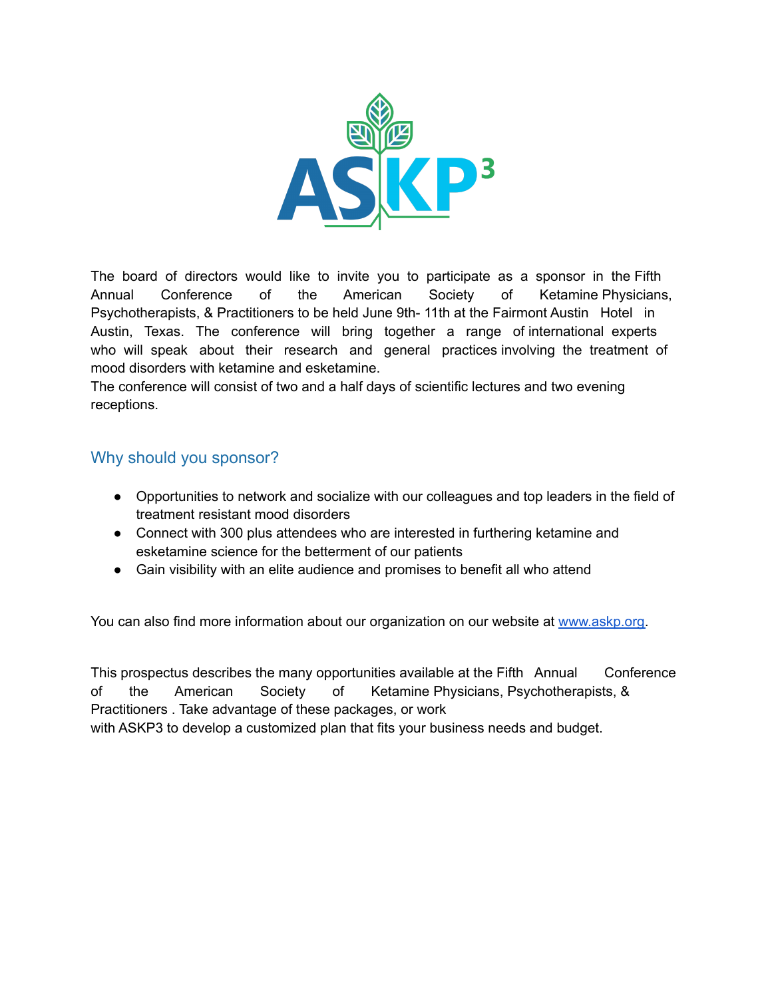

The board of directors would like to invite you to participate as a sponsor in the Fifth Annual Conference of the American Society of Ketamine Physicians, Psychotherapists, & Practitioners to be held June 9th- 11th at the Fairmont Austin Hotel in Austin, Texas. The conference will bring together a range of international experts who will speak about their research and general practices involving the treatment of mood disorders with ketamine and esketamine.

The conference will consist of two and a half days of scientific lectures and two evening receptions.

## Why should you sponsor?

- Opportunities to network and socialize with our colleagues and top leaders in the field of treatment resistant mood disorders
- Connect with 300 plus attendees who are interested in furthering ketamine and esketamine science for the betterment of our patients
- Gain visibility with an elite audience and promises to benefit all who attend

You can also find more information about our organization on our website at [www.askp.org.](http://www.askp.org)

This prospectus describes the many opportunities available at the Fifth Annual Conference of the American Society of Ketamine Physicians, Psychotherapists, & Practitioners . Take advantage of these packages, or work with ASKP3 to develop a customized plan that fits your business needs and budget.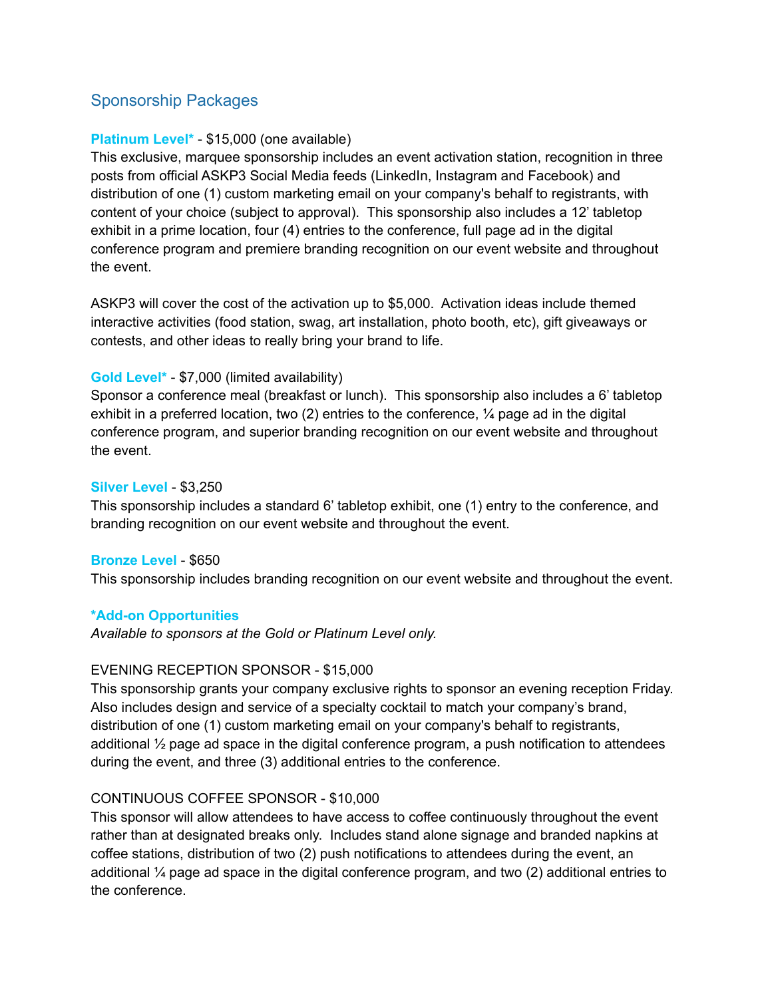# Sponsorship Packages

## **Platinum Level\*** - \$15,000 (one available)

This exclusive, marquee sponsorship includes an event activation station, recognition in three posts from official ASKP3 Social Media feeds (LinkedIn, Instagram and Facebook) and distribution of one (1) custom marketing email on your company's behalf to registrants, with content of your choice (subject to approval). This sponsorship also includes a 12' tabletop exhibit in a prime location, four (4) entries to the conference, full page ad in the digital conference program and premiere branding recognition on our event website and throughout the event.

ASKP3 will cover the cost of the activation up to \$5,000. Activation ideas include themed interactive activities (food station, swag, art installation, photo booth, etc), gift giveaways or contests, and other ideas to really bring your brand to life.

#### **Gold Level\*** - \$7,000 (limited availability)

Sponsor a conference meal (breakfast or lunch). This sponsorship also includes a 6' tabletop exhibit in a preferred location, two (2) entries to the conference,  $\frac{1}{4}$  page ad in the digital conference program, and superior branding recognition on our event website and throughout the event.

#### **Silver Level** - \$3,250

This sponsorship includes a standard 6' tabletop exhibit, one (1) entry to the conference, and branding recognition on our event website and throughout the event.

#### **Bronze Level** - \$650

This sponsorship includes branding recognition on our event website and throughout the event.

#### **\*Add-on Opportunities**

*Available to sponsors at the Gold or Platinum Level only.*

#### EVENING RECEPTION SPONSOR - \$15,000

This sponsorship grants your company exclusive rights to sponsor an evening reception Friday. Also includes design and service of a specialty cocktail to match your company's brand, distribution of one (1) custom marketing email on your company's behalf to registrants, additional  $\frac{1}{2}$  page ad space in the digital conference program, a push notification to attendees during the event, and three (3) additional entries to the conference.

#### CONTINUOUS COFFEE SPONSOR - \$10,000

This sponsor will allow attendees to have access to coffee continuously throughout the event rather than at designated breaks only. Includes stand alone signage and branded napkins at coffee stations, distribution of two (2) push notifications to attendees during the event, an additional ¼ page ad space in the digital conference program, and two (2) additional entries to the conference.